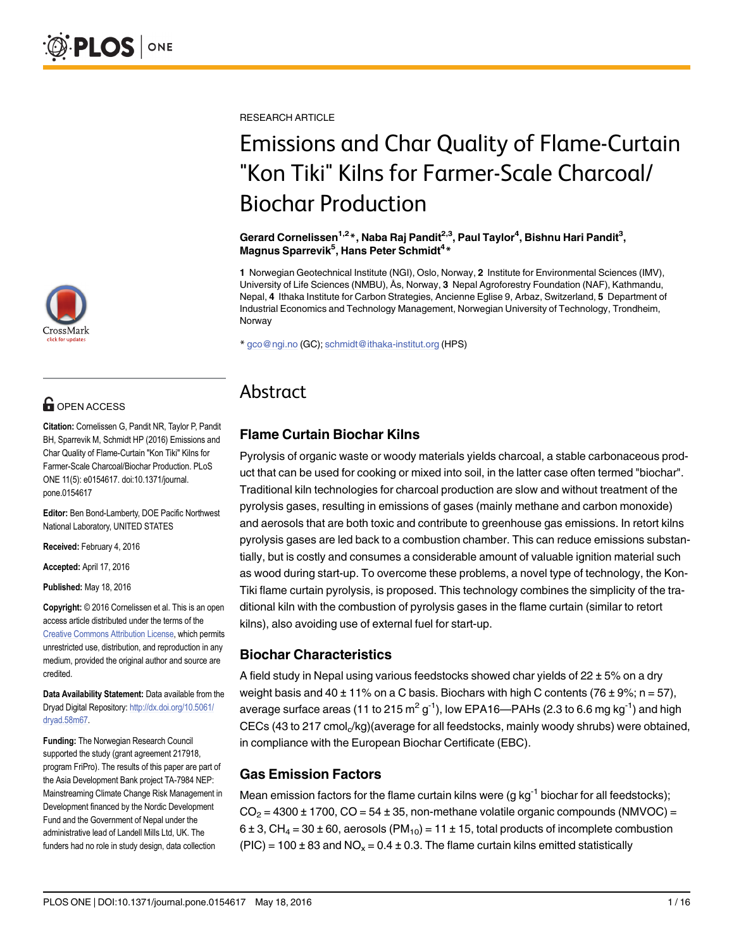

# **G** OPEN ACCESS

Citation: Cornelissen G, Pandit NR, Taylor P, Pandit BH, Sparrevik M, Schmidt HP (2016) Emissions and Char Quality of Flame-Curtain "Kon Tiki" Kilns for Farmer-Scale Charcoal/Biochar Production. PLoS ONE 11(5): e0154617. doi:10.1371/journal. pone.0154617

Editor: Ben Bond-Lamberty, DOE Pacific Northwest National Laboratory, UNITED STATES

Received: February 4, 2016

Accepted: April 17, 2016

Published: May 18, 2016

Copyright: © 2016 Cornelissen et al. This is an open access article distributed under the terms of the [Creative Commons Attribution License,](http://creativecommons.org/licenses/by/4.0/) which permits unrestricted use, distribution, and reproduction in any medium, provided the original author and source are credited.

Data Availability Statement: Data available from the Dryad Digital Repository: [http://dx.doi.org/10.5061/](http://dx.doi.org/10.5061/dryad.58m67) [dryad.58m67](http://dx.doi.org/10.5061/dryad.58m67).

Funding: The Norwegian Research Council supported the study (grant agreement 217918, program FriPro). The results of this paper are part of the Asia Development Bank project TA-7984 NEP: Mainstreaming Climate Change Risk Management in Development financed by the Nordic Development Fund and the Government of Nepal under the administrative lead of Landell Mills Ltd, UK. The funders had no role in study design, data collection

RESEARCH ARTICLE

# Emissions and Char Quality of Flame-Curtain "Kon Tiki" Kilns for Farmer-Scale Charcoal/ Biochar Production

Gerard Cornelissen $^{1,2}$ \*, Naba Raj Pandit $^{2,3}$ , Paul Taylor $^{4}$ , Bishnu Hari Pandit $^{3},$ Magnus Sparrevik<sup>5</sup>, Hans Peter Schmidt<sup>4</sup>\*

1 Norwegian Geotechnical Institute (NGI), Oslo, Norway, 2 Institute for Environmental Sciences (IMV), University of Life Sciences (NMBU), Ås, Norway, 3 Nepal Agroforestry Foundation (NAF), Kathmandu, Nepal, 4 Ithaka Institute for Carbon Strategies, Ancienne Eglise 9, Arbaz, Switzerland, 5 Department of Industrial Economics and Technology Management, Norwegian University of Technology, Trondheim, Norway

\* gco@ngi.no (GC); schmidt@ithaka-institut.org (HPS)

# Abstract

## Flame Curtain Biochar Kilns

Pyrolysis of organic waste or woody materials yields charcoal, a stable carbonaceous product that can be used for cooking or mixed into soil, in the latter case often termed "biochar". Traditional kiln technologies for charcoal production are slow and without treatment of the pyrolysis gases, resulting in emissions of gases (mainly methane and carbon monoxide) and aerosols that are both toxic and contribute to greenhouse gas emissions. In retort kilns pyrolysis gases are led back to a combustion chamber. This can reduce emissions substantially, but is costly and consumes a considerable amount of valuable ignition material such as wood during start-up. To overcome these problems, a novel type of technology, the Kon-Tiki flame curtain pyrolysis, is proposed. This technology combines the simplicity of the traditional kiln with the combustion of pyrolysis gases in the flame curtain (similar to retort kilns), also avoiding use of external fuel for start-up.

#### Biochar Characteristics

A field study in Nepal using various feedstocks showed char yields of 22 ± 5% on a dry weight basis and  $40 \pm 11\%$  on a C basis. Biochars with high C contents (76  $\pm$  9%; n = 57), average surface areas (11 to 215  $m^2 g^{-1}$ ), low EPA16—PAHs (2.3 to 6.6 mg kg<sup>-1</sup>) and high CECs (43 to 217 cmol $_{c}$ /kg)(average for all feedstocks, mainly woody shrubs) were obtained, in compliance with the European Biochar Certificate (EBC).

## Gas Emission Factors

Mean emission factors for the flame curtain kilns were (g  $kg^{-1}$  biochar for all feedstocks);  $CO<sub>2</sub> = 4300 \pm 1700$ ,  $CO = 54 \pm 35$ , non-methane volatile organic compounds (NMVOC) =  $6 \pm 3$ , CH<sub>4</sub> = 30  $\pm$  60, aerosols (PM<sub>10</sub>) = 11  $\pm$  15, total products of incomplete combustion  $(PIC) = 100 \pm 83$  and  $NO_x = 0.4 \pm 0.3$ . The flame curtain kilns emitted statistically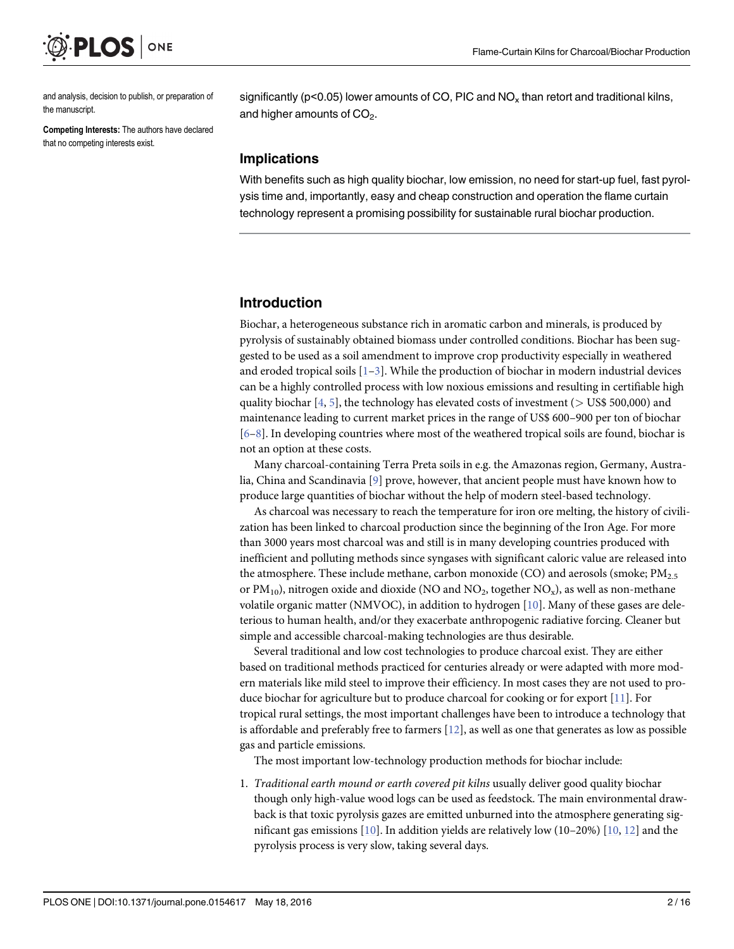<span id="page-1-0"></span>

and analysis, decision to publish, or preparation of the manuscript.

Competing Interests: The authors have declared that no competing interests exist.

significantly ( $p$ <0.05) lower amounts of CO, PIC and NO<sub>x</sub> than retort and traditional kilns, and higher amounts of  $CO<sub>2</sub>$ .

#### Implications

With benefits such as high quality biochar, low emission, no need for start-up fuel, fast pyrolysis time and, importantly, easy and cheap construction and operation the flame curtain technology represent a promising possibility for sustainable rural biochar production.

#### Introduction

Biochar, a heterogeneous substance rich in aromatic carbon and minerals, is produced by pyrolysis of sustainably obtained biomass under controlled conditions. Biochar has been suggested to be used as a soil amendment to improve crop productivity especially in weathered and eroded tropical soils  $[1-3]$  $[1-3]$  $[1-3]$  $[1-3]$  $[1-3]$ . While the production of biochar in modern industrial devices can be a highly controlled process with low noxious emissions and resulting in certifiable high quality biochar  $[4, 5]$  $[4, 5]$  $[4, 5]$  $[4, 5]$ , the technology has elevated costs of investment ( $>$  US\$ 500,000) and maintenance leading to current market prices in the range of US\$ 600–900 per ton of biochar  $[6–8]$  $[6–8]$  $[6–8]$  $[6–8]$ . In developing countries where most of the weathered tropical soils are found, biochar is not an option at these costs.

Many charcoal-containing Terra Preta soils in e.g. the Amazonas region, Germany, Australia, China and Scandinavia [\[9\]](#page-13-0) prove, however, that ancient people must have known how to produce large quantities of biochar without the help of modern steel-based technology.

As charcoal was necessary to reach the temperature for iron ore melting, the history of civilization has been linked to charcoal production since the beginning of the Iron Age. For more than 3000 years most charcoal was and still is in many developing countries produced with inefficient and polluting methods since syngases with significant caloric value are released into the atmosphere. These include methane, carbon monoxide (CO) and aerosols (smoke;  $PM_{2.5}$ or  $PM_{10}$ ), nitrogen oxide and dioxide (NO and NO<sub>2</sub>, together NO<sub>x</sub>), as well as non-methane volatile organic matter (NMVOC), in addition to hydrogen  $[10]$  $[10]$  $[10]$ . Many of these gases are deleterious to human health, and/or they exacerbate anthropogenic radiative forcing. Cleaner but simple and accessible charcoal-making technologies are thus desirable.

Several traditional and low cost technologies to produce charcoal exist. They are either based on traditional methods practiced for centuries already or were adapted with more modern materials like mild steel to improve their efficiency. In most cases they are not used to produce biochar for agriculture but to produce charcoal for cooking or for export  $[11]$  $[11]$ . For tropical rural settings, the most important challenges have been to introduce a technology that is affordable and preferably free to farmers  $[12]$  $[12]$ , as well as one that generates as low as possible gas and particle emissions.

The most important low-technology production methods for biochar include:

1. Traditional earth mound or earth covered pit kilns usually deliver good quality biochar though only high-value wood logs can be used as feedstock. The main environmental drawback is that toxic pyrolysis gazes are emitted unburned into the atmosphere generating significant gas emissions  $[10]$ . In addition yields are relatively low ([10](#page-13-0)–20%)  $[10, 12]$  $[10, 12]$  $[10, 12]$  and the pyrolysis process is very slow, taking several days.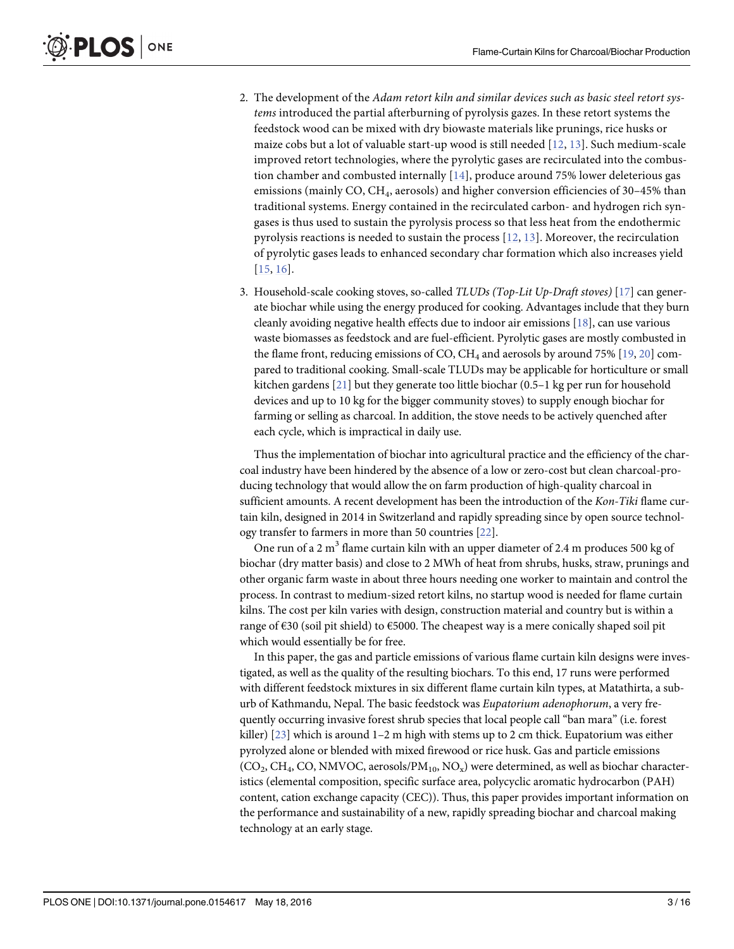- <span id="page-2-0"></span>2. The development of the Adam retort kiln and similar devices such as basic steel retort systems introduced the partial afterburning of pyrolysis gazes. In these retort systems the feedstock wood can be mixed with dry biowaste materials like prunings, rice husks or maize cobs but a lot of valuable start-up wood is still needed  $[12, 13]$  $[12, 13]$  $[12, 13]$  $[12, 13]$ . Such medium-scale improved retort technologies, where the pyrolytic gases are recirculated into the combustion chamber and combusted internally  $[14]$  $[14]$ , produce around 75% lower deleterious gas emissions (mainly CO, CH<sub>4</sub>, aerosols) and higher conversion efficiencies of 30-45% than traditional systems. Energy contained in the recirculated carbon- and hydrogen rich syngases is thus used to sustain the pyrolysis process so that less heat from the endothermic pyrolysis reactions is needed to sustain the process  $[12, 13]$  $[12, 13]$  $[12, 13]$  $[12, 13]$ . Moreover, the recirculation of pyrolytic gases leads to enhanced secondary char formation which also increases yield [[15](#page-13-0), [16\]](#page-13-0).
- 3. Household-scale cooking stoves, so-called TLUDs (Top-Lit Up-Draft stoves) [\[17\]](#page-14-0) can generate biochar while using the energy produced for cooking. Advantages include that they burn cleanly avoiding negative health effects due to indoor air emissions  $[18]$ , can use various waste biomasses as feedstock and are fuel-efficient. Pyrolytic gases are mostly combusted in the flame front, reducing emissions of CO,  $CH_4$  and aerosols by around 75% [\[19,](#page-14-0) [20\]](#page-14-0) compared to traditional cooking. Small-scale TLUDs may be applicable for horticulture or small kitchen gardens [[21](#page-14-0)] but they generate too little biochar (0.5–1 kg per run for household devices and up to 10 kg for the bigger community stoves) to supply enough biochar for farming or selling as charcoal. In addition, the stove needs to be actively quenched after each cycle, which is impractical in daily use.

Thus the implementation of biochar into agricultural practice and the efficiency of the charcoal industry have been hindered by the absence of a low or zero-cost but clean charcoal-producing technology that would allow the on farm production of high-quality charcoal in sufficient amounts. A recent development has been the introduction of the Kon-Tiki flame curtain kiln, designed in 2014 in Switzerland and rapidly spreading since by open source technology transfer to farmers in more than 50 countries [\[22](#page-14-0)].

One run of a 2  $m<sup>3</sup>$  flame curtain kiln with an upper diameter of 2.4 m produces 500 kg of biochar (dry matter basis) and close to 2 MWh of heat from shrubs, husks, straw, prunings and other organic farm waste in about three hours needing one worker to maintain and control the process. In contrast to medium-sized retort kilns, no startup wood is needed for flame curtain kilns. The cost per kiln varies with design, construction material and country but is within a range of €30 (soil pit shield) to €5000. The cheapest way is a mere conically shaped soil pit which would essentially be for free.

In this paper, the gas and particle emissions of various flame curtain kiln designs were investigated, as well as the quality of the resulting biochars. To this end, 17 runs were performed with different feedstock mixtures in six different flame curtain kiln types, at Matathirta, a suburb of Kathmandu, Nepal. The basic feedstock was Eupatorium adenophorum, a very frequently occurring invasive forest shrub species that local people call "ban mara" (i.e. forest killer)  $[23]$  $[23]$  which is around 1–2 m high with stems up to 2 cm thick. Eupatorium was either pyrolyzed alone or blended with mixed firewood or rice husk. Gas and particle emissions  $(CO_2, CH_4, CO, NMVOC, aerosols/PM_{10}, NO_x)$  were determined, as well as biochar characteristics (elemental composition, specific surface area, polycyclic aromatic hydrocarbon (PAH) content, cation exchange capacity (CEC)). Thus, this paper provides important information on the performance and sustainability of a new, rapidly spreading biochar and charcoal making technology at an early stage.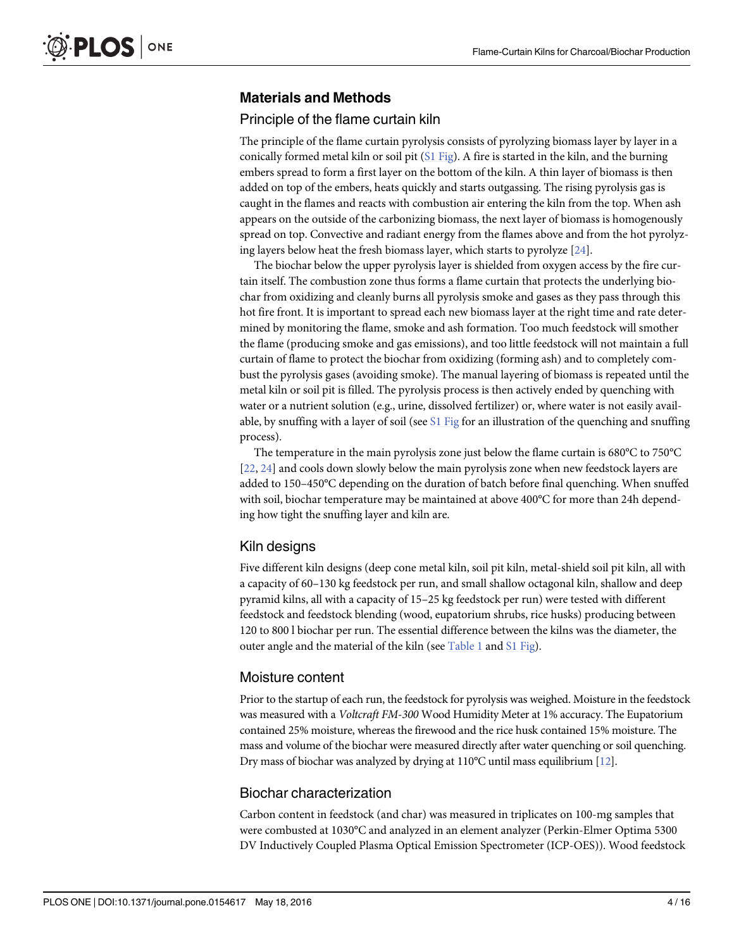#### <span id="page-3-0"></span>Materials and Methods

#### Principle of the flame curtain kiln

The principle of the flame curtain pyrolysis consists of pyrolyzing biomass layer by layer in a conically formed metal kiln or soil pit [\(S1 Fig](#page-12-0)). A fire is started in the kiln, and the burning embers spread to form a first layer on the bottom of the kiln. A thin layer of biomass is then added on top of the embers, heats quickly and starts outgassing. The rising pyrolysis gas is caught in the flames and reacts with combustion air entering the kiln from the top. When ash appears on the outside of the carbonizing biomass, the next layer of biomass is homogenously spread on top. Convective and radiant energy from the flames above and from the hot pyrolyzing layers below heat the fresh biomass layer, which starts to pyrolyze [\[24\]](#page-14-0).

The biochar below the upper pyrolysis layer is shielded from oxygen access by the fire curtain itself. The combustion zone thus forms a flame curtain that protects the underlying biochar from oxidizing and cleanly burns all pyrolysis smoke and gases as they pass through this hot fire front. It is important to spread each new biomass layer at the right time and rate determined by monitoring the flame, smoke and ash formation. Too much feedstock will smother the flame (producing smoke and gas emissions), and too little feedstock will not maintain a full curtain of flame to protect the biochar from oxidizing (forming ash) and to completely combust the pyrolysis gases (avoiding smoke). The manual layering of biomass is repeated until the metal kiln or soil pit is filled. The pyrolysis process is then actively ended by quenching with water or a nutrient solution (e.g., urine, dissolved fertilizer) or, where water is not easily available, by snuffing with a layer of soil (see  $S1$  Fig for an illustration of the quenching and snuffing process).

The temperature in the main pyrolysis zone just below the flame curtain is 680°C to 750°C [\[22](#page-14-0), [24\]](#page-14-0) and cools down slowly below the main pyrolysis zone when new feedstock layers are added to 150–450°C depending on the duration of batch before final quenching. When snuffed with soil, biochar temperature may be maintained at above 400°C for more than 24h depending how tight the snuffing layer and kiln are.

#### Kiln designs

Five different kiln designs (deep cone metal kiln, soil pit kiln, metal-shield soil pit kiln, all with a capacity of 60–130 kg feedstock per run, and small shallow octagonal kiln, shallow and deep pyramid kilns, all with a capacity of 15–25 kg feedstock per run) were tested with different feedstock and feedstock blending (wood, eupatorium shrubs, rice husks) producing between 120 to 800 l biochar per run. The essential difference between the kilns was the diameter, the outer angle and the material of the kiln (see [Table 1](#page-4-0) and [S1 Fig](#page-12-0)).

#### Moisture content

Prior to the startup of each run, the feedstock for pyrolysis was weighed. Moisture in the feedstock was measured with a *Voltcraft FM-300* Wood Humidity Meter at 1% accuracy. The Eupatorium contained 25% moisture, whereas the firewood and the rice husk contained 15% moisture. The mass and volume of the biochar were measured directly after water quenching or soil quenching. Dry mass of biochar was analyzed by drying at 110°C until mass equilibrium [\[12\]](#page-13-0).

#### Biochar characterization

Carbon content in feedstock (and char) was measured in triplicates on 100-mg samples that were combusted at 1030°C and analyzed in an element analyzer (Perkin-Elmer Optima 5300 DV Inductively Coupled Plasma Optical Emission Spectrometer (ICP-OES)). Wood feedstock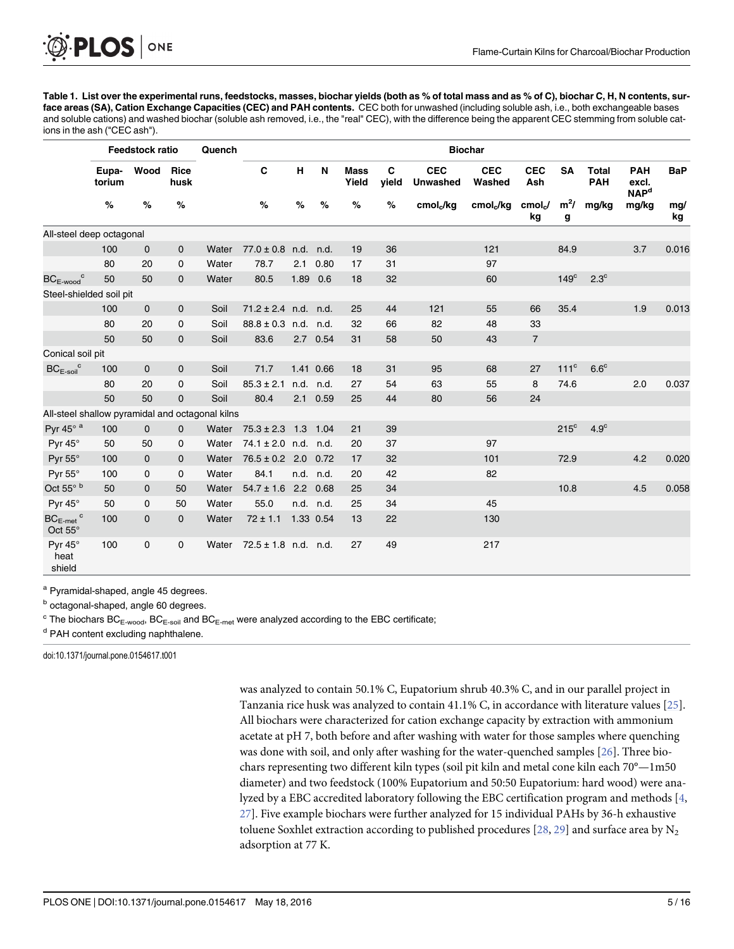<span id="page-4-0"></span>[Table 1.](#page-3-0) List over the experimental runs, feedstocks, masses, biochar yields (both as % of total mass and as % of C), biochar C, H, N contents, surface areas (SA), Cation Exchange Capacities (CEC) and PAH contents. CEC both for unwashed (including soluble ash, i.e., both exchangeable bases and soluble cations) and washed biochar (soluble ash removed, i.e., the "real" CEC), with the difference being the apparent CEC stemming from soluble cations in the ash ("CEC ash").

|                                                 | Feedstock ratio |              |              | Quench | <b>Biochar</b>           |      |           |                      |            |                               |                       |                   |                  |                     |                                               |            |
|-------------------------------------------------|-----------------|--------------|--------------|--------|--------------------------|------|-----------|----------------------|------------|-------------------------------|-----------------------|-------------------|------------------|---------------------|-----------------------------------------------|------------|
|                                                 | Eupa-<br>torium | Wood         | Rice<br>husk |        | C                        | H    | N         | <b>Mass</b><br>Yield | C<br>yield | <b>CEC</b><br><b>Unwashed</b> | <b>CEC</b><br>Washed  | <b>CEC</b><br>Ash | <b>SA</b>        | Total<br><b>PAH</b> | <b>PAH</b><br>excl.<br><b>NAP<sup>d</sup></b> | <b>BaP</b> |
|                                                 | %               | %            | %            |        | %                        | %    | %         | %                    | %          | cmol <sub>c</sub> /kg         | cmol <sub>c</sub> /kg | cmol<br>kg        | $m^2/$<br>g      | mg/kg               | mg/kg                                         | mq/<br>kg  |
| All-steel deep octagonal                        |                 |              |              |        |                          |      |           |                      |            |                               |                       |                   |                  |                     |                                               |            |
|                                                 | 100             | $\mathbf{0}$ | $\mathbf 0$  | Water  | $77.0 \pm 0.8$ n.d.      |      | n.d.      | 19                   | 36         |                               | 121                   |                   | 84.9             |                     | 3.7                                           | 0.016      |
|                                                 | 80              | 20           | 0            | Water  | 78.7                     | 2.1  | 0.80      | 17                   | 31         |                               | 97                    |                   |                  |                     |                                               |            |
| $BC_{E\text{-wood}}^c$                          | 50              | 50           | $\mathbf{0}$ | Water  | 80.5                     |      | 1.89 0.6  | 18                   | 32         |                               | 60                    |                   | $149^\circ$      | $2.3^\circ$         |                                               |            |
| Steel-shielded soil pit                         |                 |              |              |        |                          |      |           |                      |            |                               |                       |                   |                  |                     |                                               |            |
|                                                 | 100             | $\mathbf 0$  | $\mathbf 0$  | Soil   | $71.2 \pm 2.4$ n.d. n.d. |      |           | 25                   | 44         | 121                           | 55                    | 66                | 35.4             |                     | 1.9                                           | 0.013      |
|                                                 | 80              | 20           | $\mathbf 0$  | Soil   | $88.8 \pm 0.3$ n.d. n.d. |      |           | 32                   | 66         | 82                            | 48                    | 33                |                  |                     |                                               |            |
|                                                 | 50              | 50           | $\mathbf{0}$ | Soil   | 83.6                     |      | 2.7 0.54  | 31                   | 58         | 50                            | 43                    | $\overline{7}$    |                  |                     |                                               |            |
| Conical soil pit                                |                 |              |              |        |                          |      |           |                      |            |                               |                       |                   |                  |                     |                                               |            |
| $BC_{E\text{-}soil}^c$                          | 100             | $\mathbf 0$  | 0            | Soil   | 71.7                     |      | 1.41 0.66 | 18                   | 31         | 95                            | 68                    | 27                | 111 <sup>c</sup> | $6.6^{\circ}$       |                                               |            |
|                                                 | 80              | 20           | $\mathbf 0$  | Soil   | $85.3 \pm 2.1$           | n.d. | n.d.      | 27                   | 54         | 63                            | 55                    | 8                 | 74.6             |                     | 2.0                                           | 0.037      |
|                                                 | 50              | 50           | $\mathbf 0$  | Soil   | 80.4                     | 2.1  | 0.59      | 25                   | 44         | 80                            | 56                    | 24                |                  |                     |                                               |            |
| All-steel shallow pyramidal and octagonal kilns |                 |              |              |        |                          |      |           |                      |            |                               |                       |                   |                  |                     |                                               |            |
| Pyr 45 $^{\circ}$ a                             | 100             | $\mathbf{0}$ | $\mathbf{0}$ | Water  | $75.3 \pm 2.3$ 1.3 1.04  |      |           | 21                   | 39         |                               |                       |                   | $215^{\circ}$    | 4.9 <sup>c</sup>    |                                               |            |
| Pyr $45^\circ$                                  | 50              | 50           | 0            | Water  | $74.1 \pm 2.0$ n.d. n.d. |      |           | 20                   | 37         |                               | 97                    |                   |                  |                     |                                               |            |
| Pyr 55°                                         | 100             | $\mathbf 0$  | $\mathbf{0}$ | Water  | $76.5 \pm 0.2$ 2.0 0.72  |      |           | 17                   | 32         |                               | 101                   |                   | 72.9             |                     | 4.2                                           | 0.020      |
| Pyr 55°                                         | 100             | $\mathbf 0$  | $\mathbf 0$  | Water  | 84.1                     |      | n.d. n.d. | 20                   | 42         |                               | 82                    |                   |                  |                     |                                               |            |
| Oct 55° b                                       | 50              | $\mathbf 0$  | 50           | Water  | $54.7 \pm 1.6$ 2.2 0.68  |      |           | 25                   | 34         |                               |                       |                   | 10.8             |                     | 4.5                                           | 0.058      |
| Pyr 45°                                         | 50              | $\mathbf 0$  | 50           | Water  | 55.0                     |      | n.d. n.d. | 25                   | 34         |                               | 45                    |                   |                  |                     |                                               |            |
| $BC_{E-met}$ <sup>c</sup><br>Oct 55°            | 100             | $\mathbf 0$  | $\mathbf{0}$ | Water  | $72 \pm 1.1$             |      | 1.33 0.54 | 13                   | 22         |                               | 130                   |                   |                  |                     |                                               |            |
| Pyr 45°<br>heat<br>shield                       | 100             | $\mathsf{O}$ | $\mathbf 0$  | Water  | $72.5 \pm 1.8$ n.d. n.d. |      |           | 27                   | 49         |                               | 217                   |                   |                  |                     |                                               |            |

a Pyramidal-shaped, angle 45 degrees.

 $\text{c}$  The biochars BC<sub>E-wood</sub>, BC<sub>E-soil</sub> and BC<sub>E-met</sub> were analyzed according to the EBC certificate;

<sup>d</sup> PAH content excluding naphthalene.

doi:10.1371/journal.pone.0154617.t001

was analyzed to contain 50.1% C, Eupatorium shrub 40.3% C, and in our parallel project in Tanzania rice husk was analyzed to contain 41.1% C, in accordance with literature values [[25](#page-14-0)]. All biochars were characterized for cation exchange capacity by extraction with ammonium acetate at pH 7, both before and after washing with water for those samples where quenching was done with soil, and only after washing for the water-quenched samples [[26](#page-14-0)]. Three biochars representing two different kiln types (soil pit kiln and metal cone kiln each 70°—1m50 diameter) and two feedstock (100% Eupatorium and 50:50 Eupatorium: hard wood) were analyzed by a EBC accredited laboratory following the EBC certification program and methods [\[4](#page-13-0), [27\]](#page-14-0). Five example biochars were further analyzed for 15 individual PAHs by 36-h exhaustive toluene Soxhlet extraction according to published procedures  $[28, 29]$  $[28, 29]$  $[28, 29]$  and surface area by  $N_2$ adsorption at 77 K.

**b** octagonal-shaped, angle 60 degrees.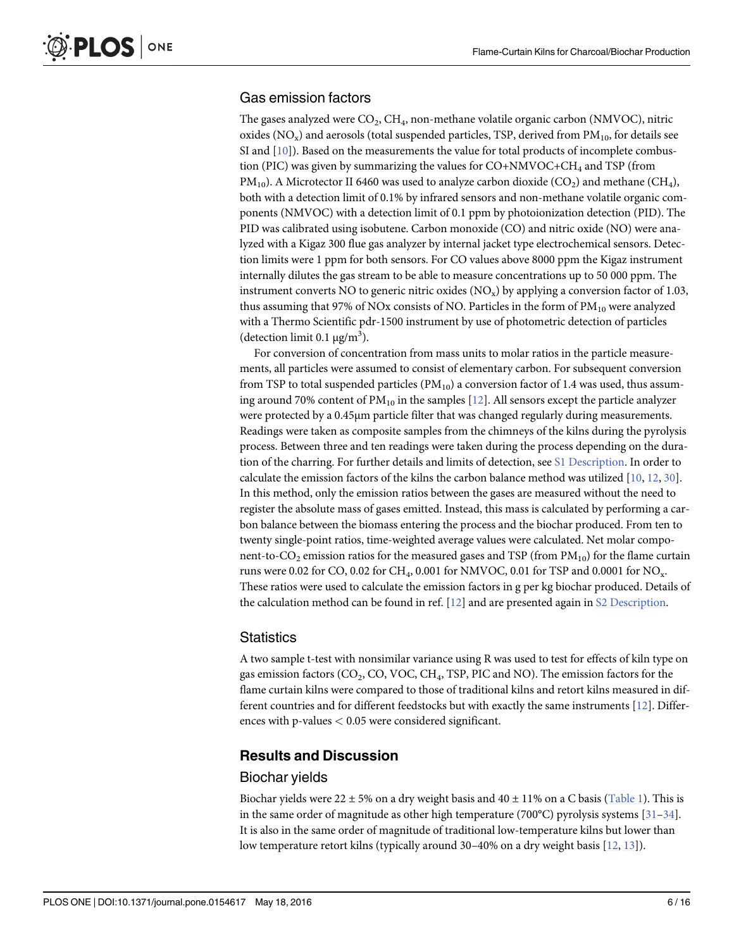#### <span id="page-5-0"></span>Gas emission factors

The gases analyzed were  $CO<sub>2</sub>$ ,  $CH<sub>4</sub>$ , non-methane volatile organic carbon (NMVOC), nitric oxides ( $NO_x$ ) and aerosols (total suspended particles, TSP, derived from  $PM_{10}$ , for details see SI and  $[10]$  $[10]$  $[10]$ ). Based on the measurements the value for total products of incomplete combustion (PIC) was given by summarizing the values for CO+NMVOC+CH<sub>4</sub> and TSP (from  $PM_{10}$ ). A Microtector II 6460 was used to analyze carbon dioxide (CO<sub>2</sub>) and methane (CH<sub>4</sub>), both with a detection limit of 0.1% by infrared sensors and non-methane volatile organic components (NMVOC) with a detection limit of 0.1 ppm by photoionization detection (PID). The PID was calibrated using isobutene. Carbon monoxide (CO) and nitric oxide (NO) were analyzed with a Kigaz 300 flue gas analyzer by internal jacket type electrochemical sensors. Detection limits were 1 ppm for both sensors. For CO values above 8000 ppm the Kigaz instrument internally dilutes the gas stream to be able to measure concentrations up to 50 000 ppm. The instrument converts NO to generic nitric oxides  $(NO<sub>x</sub>)$  by applying a conversion factor of 1.03, thus assuming that 97% of NOx consists of NO. Particles in the form of  $PM_{10}$  were analyzed with a Thermo Scientific pdr-1500 instrument by use of photometric detection of particles (detection limit  $0.1 \mu g/m^3$ ).

For conversion of concentration from mass units to molar ratios in the particle measurements, all particles were assumed to consist of elementary carbon. For subsequent conversion from TSP to total suspended particles  $(PM_{10})$  a conversion factor of 1.4 was used, thus assuming around 70% content of  $PM_{10}$  in the samples [[12\]](#page-13-0). All sensors except the particle analyzer were protected by a 0.45μm particle filter that was changed regularly during measurements. Readings were taken as composite samples from the chimneys of the kilns during the pyrolysis process. Between three and ten readings were taken during the process depending on the duration of the charring. For further details and limits of detection, see [S1 Description](#page-12-0). In order to calculate the emission factors of the kilns the carbon balance method was utilized [[10,](#page-13-0) [12,](#page-13-0) [30\]](#page-14-0). In this method, only the emission ratios between the gases are measured without the need to register the absolute mass of gases emitted. Instead, this mass is calculated by performing a carbon balance between the biomass entering the process and the biochar produced. From ten to twenty single-point ratios, time-weighted average values were calculated. Net molar component-to-CO<sub>2</sub> emission ratios for the measured gases and TSP (from  $PM_{10}$ ) for the flame curtain runs were 0.02 for CO, 0.02 for CH<sub>4</sub>, 0.001 for NMVOC, 0.01 for TSP and 0.0001 for NO<sub>x</sub>. These ratios were used to calculate the emission factors in g per kg biochar produced. Details of the calculation method can be found in ref. [[12](#page-13-0)] and are presented again in [S2 Description.](#page-12-0)

#### **Statistics**

A two sample t-test with nonsimilar variance using R was used to test for effects of kiln type on gas emission factors ( $CO<sub>2</sub>$ ,  $CO$ ,  $VOC$ ,  $CH<sub>4</sub>$ , TSP, PIC and NO). The emission factors for the flame curtain kilns were compared to those of traditional kilns and retort kilns measured in different countries and for different feedstocks but with exactly the same instruments [[12\]](#page-13-0). Differences with p-values < 0.05 were considered significant.

#### Results and Discussion

#### Biochar yields

Biochar yields were 22  $\pm$  5% on a dry weight basis and 40  $\pm$  11% on a C basis [\(Table 1\)](#page-4-0). This is in the same order of magnitude as other high temperature (700 $^{\circ}$ C) pyrolysis systems [[31](#page-14-0)–[34\]](#page-14-0). It is also in the same order of magnitude of traditional low-temperature kilns but lower than low temperature retort kilns (typically around 30–40% on a dry weight basis [\[12,](#page-13-0) [13\]](#page-13-0)).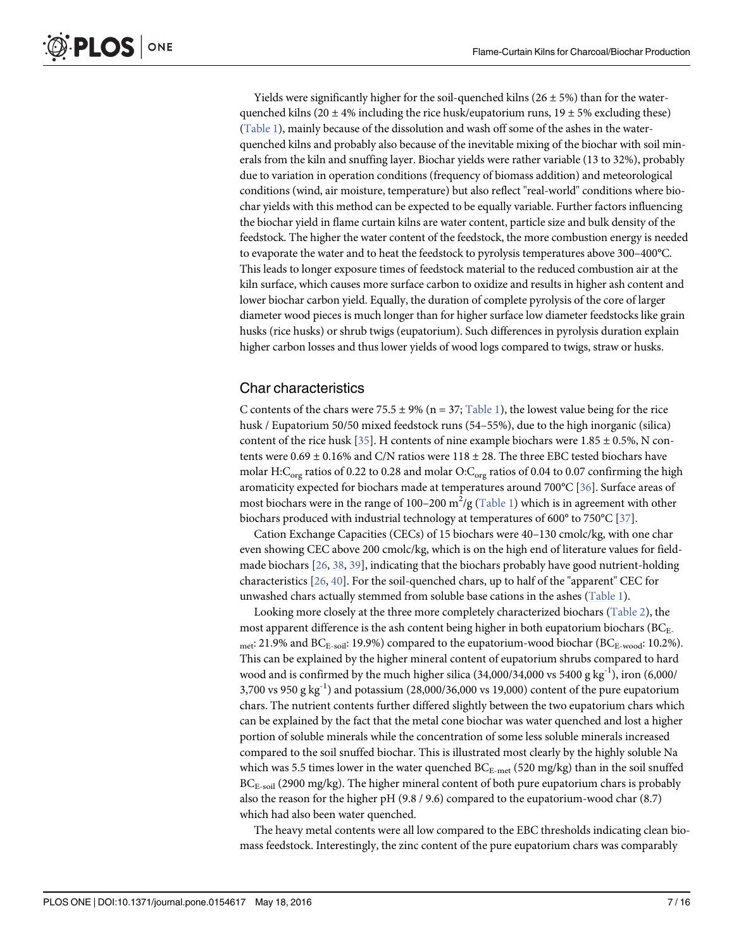<span id="page-6-0"></span>Yields were significantly higher for the soil-quenched kilns ( $26 \pm 5\%$ ) than for the waterquenched kilns (20  $\pm$  4% including the rice husk/eupatorium runs, 19  $\pm$  5% excluding these) [\(Table 1](#page-4-0)), mainly because of the dissolution and wash off some of the ashes in the waterquenched kilns and probably also because of the inevitable mixing of the biochar with soil minerals from the kiln and snuffing layer. Biochar yields were rather variable (13 to 32%), probably due to variation in operation conditions (frequency of biomass addition) and meteorological conditions (wind, air moisture, temperature) but also reflect "real-world" conditions where biochar yields with this method can be expected to be equally variable. Further factors influencing the biochar yield in flame curtain kilns are water content, particle size and bulk density of the feedstock. The higher the water content of the feedstock, the more combustion energy is needed to evaporate the water and to heat the feedstock to pyrolysis temperatures above 300–400°C. This leads to longer exposure times of feedstock material to the reduced combustion air at the kiln surface, which causes more surface carbon to oxidize and results in higher ash content and lower biochar carbon yield. Equally, the duration of complete pyrolysis of the core of larger diameter wood pieces is much longer than for higher surface low diameter feedstocks like grain husks (rice husks) or shrub twigs (eupatorium). Such differences in pyrolysis duration explain higher carbon losses and thus lower yields of wood logs compared to twigs, straw or husks.

#### Char characteristics

C contents of the chars were 75.5  $\pm$  9% (n = 37; [Table 1](#page-4-0)), the lowest value being for the rice husk / Eupatorium 50/50 mixed feedstock runs (54–55%), due to the high inorganic (silica) content of the rice husk [ $35$ ]. H contents of nine example biochars were 1.85  $\pm$  0.5%, N contents were  $0.69 \pm 0.16\%$  and C/N ratios were  $118 \pm 28$ . The three EBC tested biochars have molar H:C<sub>org</sub> ratios of 0.22 to 0.28 and molar O:C<sub>org</sub> ratios of 0.04 to 0.07 confirming the high aromaticity expected for biochars made at temperatures around 700°C [[36\]](#page-14-0). Surface areas of most biochars were in the range of 100–200 m $^2$ /g (<u>Table 1</u>) which is in agreement with other biochars produced with industrial technology at temperatures of 600° to 750°C [[37](#page-14-0)].

Cation Exchange Capacities (CECs) of 15 biochars were 40–130 cmolc/kg, with one char even showing CEC above 200 cmolc/kg, which is on the high end of literature values for fieldmade biochars  $[26, 38, 39]$  $[26, 38, 39]$  $[26, 38, 39]$  $[26, 38, 39]$  $[26, 38, 39]$  $[26, 38, 39]$  $[26, 38, 39]$ , indicating that the biochars probably have good nutrient-holding characteristics [\[26,](#page-14-0) [40\]](#page-15-0). For the soil-quenched chars, up to half of the "apparent" CEC for unwashed chars actually stemmed from soluble base cations in the ashes [\(Table 1](#page-4-0)).

Looking more closely at the three more completely characterized biochars [\(Table 2\)](#page-7-0), the most apparent difference is the ash content being higher in both eupatorium biochars ( $BC_{E-}$ met: 21.9% and  $BC_{E-soli}$ : 19.9%) compared to the eupatorium-wood biochar ( $BC_{E-wood}$ : 10.2%). This can be explained by the higher mineral content of eupatorium shrubs compared to hard wood and is confirmed by the much higher silica  $(34,000/34,000 \text{ vs } 5400 \text{ g kg}^{-1})$ , iron  $(6,000/$ 3,700 vs 950 g kg<sup>-1</sup>) and potassium (28,000/36,000 vs 19,000) content of the pure eupatorium chars. The nutrient contents further differed slightly between the two eupatorium chars which can be explained by the fact that the metal cone biochar was water quenched and lost a higher portion of soluble minerals while the concentration of some less soluble minerals increased compared to the soil snuffed biochar. This is illustrated most clearly by the highly soluble Na which was 5.5 times lower in the water quenched  $BC_{E-met}$  (520 mg/kg) than in the soil snuffed BC<sub>E-soil</sub> (2900 mg/kg). The higher mineral content of both pure eupatorium chars is probably also the reason for the higher pH (9.8 / 9.6) compared to the eupatorium-wood char (8.7) which had also been water quenched.

The heavy metal contents were all low compared to the EBC thresholds indicating clean biomass feedstock. Interestingly, the zinc content of the pure eupatorium chars was comparably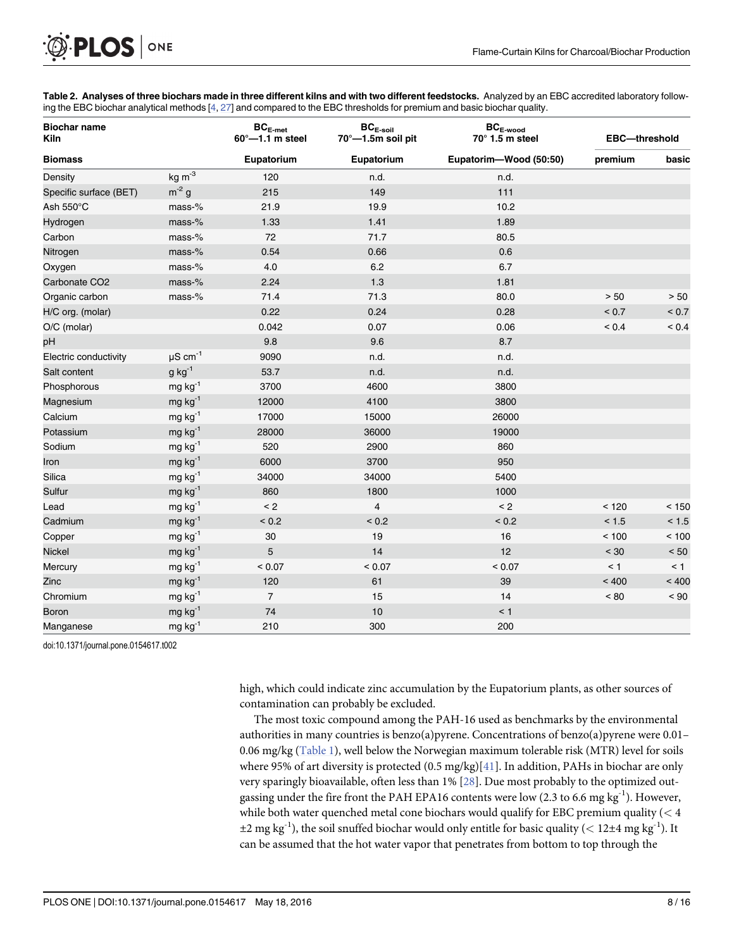<span id="page-7-0"></span>

[Table 2.](#page-6-0) Analyses of three biochars made in three different kilns and with two different feedstocks. Analyzed by an EBC accredited laboratory follow-ing the EBC biochar analytical methods [[4](#page-13-0), [27\]](#page-14-0) and compared to the EBC thresholds for premium and basic biochar quality.

| <b>Biochar name</b><br><b>Kiln</b> |                          | $\mathsf{BC}_{\mathsf{E}\text{-}\mathsf{met}}$<br>$60^{\circ}$ -1.1 m steel | $\mathsf{BC}_{\mathsf{E}\text{-}\mathsf{soil}}$<br>70°-1.5m soil pit | $BC_{E-wood}$<br>$70^\circ$ 1.5 m steel | EBC-threshold |              |  |
|------------------------------------|--------------------------|-----------------------------------------------------------------------------|----------------------------------------------------------------------|-----------------------------------------|---------------|--------------|--|
| <b>Biomass</b>                     |                          | Eupatorium                                                                  | Eupatorium                                                           | Eupatorim-Wood (50:50)                  | premium       | basic        |  |
| Density                            | $kg \, m-3$              | 120                                                                         | n.d.                                                                 | n.d.                                    |               |              |  |
| Specific surface (BET)             | $m^{-2}$ g               | 215                                                                         | 149                                                                  | 111                                     |               |              |  |
| Ash 550°C                          | $mass-%$                 | 21.9                                                                        | 19.9                                                                 | 10.2                                    |               |              |  |
| Hydrogen                           | mass-%                   | 1.33                                                                        | 1.41                                                                 | 1.89                                    |               |              |  |
| Carbon                             | mass-%                   | 72                                                                          | 71.7                                                                 | 80.5                                    |               |              |  |
| Nitrogen                           | $mass-%$                 | 0.54                                                                        | 0.66                                                                 | 0.6                                     |               |              |  |
| Oxygen                             | mass-%                   | 4.0                                                                         | $6.2\,$                                                              | 6.7                                     |               |              |  |
| Carbonate CO <sub>2</sub>          | $mass-%$                 | 2.24                                                                        | 1.3                                                                  | 1.81                                    |               |              |  |
| Organic carbon                     | mass-%                   | 71.4                                                                        | 71.3                                                                 | 80.0                                    | $> 50$        | > 50         |  |
| H/C org. (molar)                   |                          | 0.22                                                                        | 0.24                                                                 | 0.28                                    | ${}_{0.7}$    | ${}_{< 0.7}$ |  |
| O/C (molar)                        |                          | 0.042                                                                       | 0.07                                                                 | 0.06                                    | ${}_{0.4}$    | ${}_{0.4}$   |  |
| pH                                 |                          | 9.8                                                                         | 9.6                                                                  | 8.7                                     |               |              |  |
| Electric conductivity              | $\mu$ S cm <sup>-1</sup> | 9090                                                                        | n.d.                                                                 | n.d.                                    |               |              |  |
| Salt content                       | $g kg-1$                 | 53.7                                                                        | n.d.                                                                 | n.d.                                    |               |              |  |
| Phosphorous                        | $mg kg^{-1}$             | 3700                                                                        | 4600                                                                 | 3800                                    |               |              |  |
| Magnesium                          | $mg$ kg <sup>-1</sup>    | 12000                                                                       | 4100                                                                 | 3800                                    |               |              |  |
| Calcium                            | $mg kg^{-1}$             | 17000                                                                       | 15000                                                                | 26000                                   |               |              |  |
| Potassium                          | $mg kg^{-1}$             | 28000                                                                       | 36000                                                                | 19000                                   |               |              |  |
| Sodium                             | $mg kg^{-1}$             | 520                                                                         | 2900                                                                 | 860                                     |               |              |  |
| Iron                               | $mg$ kg <sup>-1</sup>    | 6000                                                                        | 3700                                                                 | 950                                     |               |              |  |
| Silica                             | $mg$ kg <sup>-1</sup>    | 34000                                                                       | 34000                                                                | 5400                                    |               |              |  |
| Sulfur                             | $mg kg^{-1}$             | 860                                                                         | 1800                                                                 | 1000                                    |               |              |  |
| Lead                               | $mg kg^{-1}$             | < 2                                                                         | $\overline{\mathbf{4}}$                                              | < 2                                     | < 120         | < 150        |  |
| Cadmium                            | $mg kg^{-1}$             | ${}_{0.2}$                                                                  | ${}_{0.2}$                                                           | ${}_{< 0.2}$                            | < 1.5         | < 1.5        |  |
| Copper                             | $mg$ kg <sup>-1</sup>    | 30                                                                          | 19                                                                   | 16                                      | < 100         | < 100        |  |
| <b>Nickel</b>                      | $mg kg^{-1}$             | 5                                                                           | 14                                                                   | 12                                      | < 30          | < 50         |  |
| Mercury                            | $mg$ kg <sup>-1</sup>    | < 0.07                                                                      | < 0.07                                                               | < 0.07                                  | < 1           | < 1          |  |
| Zinc                               | $mg kg^{-1}$             | 120                                                                         | 61                                                                   | 39                                      | < 400         | < 400        |  |
| Chromium                           | $mg kg^{-1}$             | $\overline{7}$                                                              | 15                                                                   | 14                                      | $~<$ 80       | ~< 90        |  |
| <b>Boron</b>                       | $mg kg^{-1}$             | 74                                                                          | 10                                                                   | < 1                                     |               |              |  |
| Manganese                          | $mg$ kg <sup>-1</sup>    | 210                                                                         | 300                                                                  | 200                                     |               |              |  |

doi:10.1371/journal.pone.0154617.t002

high, which could indicate zinc accumulation by the Eupatorium plants, as other sources of contamination can probably be excluded.

The most toxic compound among the PAH-16 used as benchmarks by the environmental authorities in many countries is benzo(a)pyrene. Concentrations of benzo(a)pyrene were 0.01– 0.06 mg/kg ( $Table 1$ ), well below the Norwegian maximum tolerable risk (MTR) level for soils where 95% of art diversity is protected  $(0.5 \text{ mg/kg})[41]$  $(0.5 \text{ mg/kg})[41]$ . In addition, PAHs in biochar are only very sparingly bioavailable, often less than 1% [[28](#page-14-0)]. Due most probably to the optimized outgassing under the fire front the PAH EPA16 contents were low (2.3 to 6.6 mg kg<sup>-1</sup>). However, while both water quenched metal cone biochars would qualify for EBC premium quality  $(< 4$  $\pm 2$  mg kg<sup>-1</sup>), the soil snuffed biochar would only entitle for basic quality (< 12 $\pm 4$  mg kg<sup>-1</sup>). It can be assumed that the hot water vapor that penetrates from bottom to top through the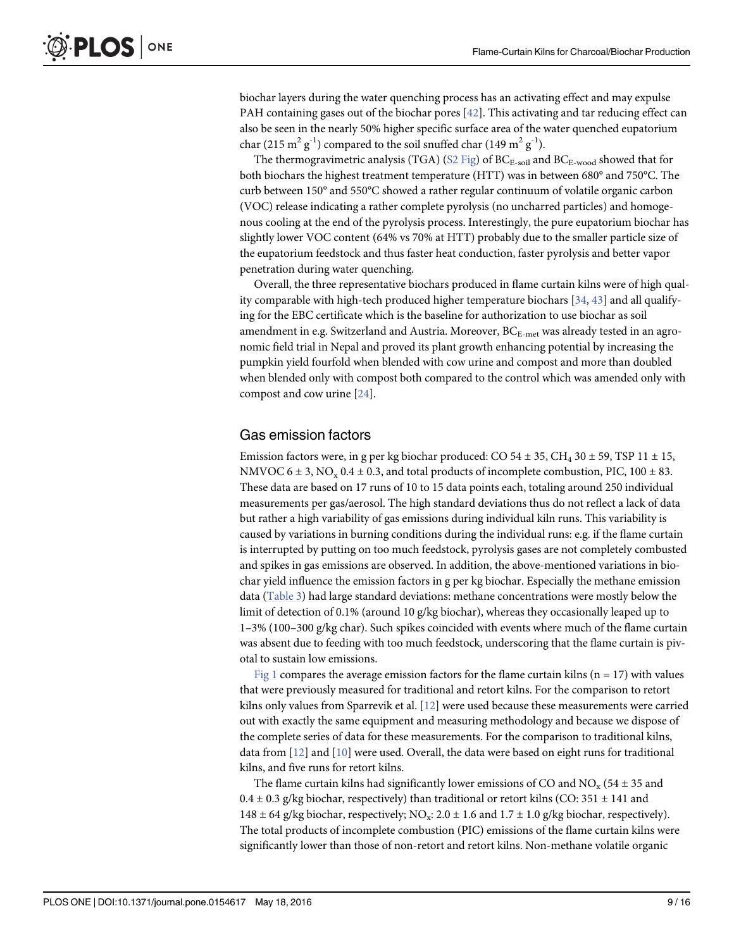<span id="page-8-0"></span>biochar layers during the water quenching process has an activating effect and may expulse PAH containing gases out of the biochar pores [[42](#page-15-0)]. This activating and tar reducing effect can also be seen in the nearly 50% higher specific surface area of the water quenched eupatorium char (215 m<sup>2</sup> g<sup>-1</sup>) compared to the soil snuffed char (149 m<sup>2</sup> g<sup>-1</sup>).

The thermogravimetric analysis (TGA) ( $S2$  Fig) of BC<sub>E-soil</sub> and BC<sub>E-wood</sub> showed that for both biochars the highest treatment temperature (HTT) was in between 680° and 750°C. The curb between 150° and 550°C showed a rather regular continuum of volatile organic carbon (VOC) release indicating a rather complete pyrolysis (no uncharred particles) and homogenous cooling at the end of the pyrolysis process. Interestingly, the pure eupatorium biochar has slightly lower VOC content (64% vs 70% at HTT) probably due to the smaller particle size of the eupatorium feedstock and thus faster heat conduction, faster pyrolysis and better vapor penetration during water quenching.

Overall, the three representative biochars produced in flame curtain kilns were of high quality comparable with high-tech produced higher temperature biochars [[34](#page-14-0), [43](#page-15-0)] and all qualifying for the EBC certificate which is the baseline for authorization to use biochar as soil amendment in e.g. Switzerland and Austria. Moreover,  $BC_{E-met}$  was already tested in an agronomic field trial in Nepal and proved its plant growth enhancing potential by increasing the pumpkin yield fourfold when blended with cow urine and compost and more than doubled when blended only with compost both compared to the control which was amended only with compost and cow urine [\[24](#page-14-0)].

#### Gas emission factors

Emission factors were, in g per kg biochar produced: CO  $54 \pm 35$ , CH<sub>4</sub>  $30 \pm 59$ , TSP 11  $\pm$  15, NMVOC  $6 \pm 3$ , NO<sub>x</sub> 0.4  $\pm$  0.3, and total products of incomplete combustion, PIC, 100  $\pm$  83. These data are based on 17 runs of 10 to 15 data points each, totaling around 250 individual measurements per gas/aerosol. The high standard deviations thus do not reflect a lack of data but rather a high variability of gas emissions during individual kiln runs. This variability is caused by variations in burning conditions during the individual runs: e.g. if the flame curtain is interrupted by putting on too much feedstock, pyrolysis gases are not completely combusted and spikes in gas emissions are observed. In addition, the above-mentioned variations in biochar yield influence the emission factors in g per kg biochar. Especially the methane emission data ([Table 3\)](#page-9-0) had large standard deviations: methane concentrations were mostly below the limit of detection of 0.1% (around 10 g/kg biochar), whereas they occasionally leaped up to 1–3% (100–300 g/kg char). Such spikes coincided with events where much of the flame curtain was absent due to feeding with too much feedstock, underscoring that the flame curtain is pivotal to sustain low emissions.

[Fig 1](#page-10-0) compares the average emission factors for the flame curtain kilns ( $n = 17$ ) with values that were previously measured for traditional and retort kilns. For the comparison to retort kilns only values from Sparrevik et al. [[12](#page-13-0)] were used because these measurements were carried out with exactly the same equipment and measuring methodology and because we dispose of the complete series of data for these measurements. For the comparison to traditional kilns, data from  $[12]$  $[12]$  $[12]$  and  $[10]$  $[10]$  were used. Overall, the data were based on eight runs for traditional kilns, and five runs for retort kilns.

The flame curtain kilns had significantly lower emissions of CO and  $NO_x$  (54  $\pm$  35 and  $0.4 \pm 0.3$  g/kg biochar, respectively) than traditional or retort kilns (CO: 351  $\pm$  141 and 148  $\pm$  64 g/kg biochar, respectively; NO<sub>x</sub>: 2.0  $\pm$  1.6 and 1.7  $\pm$  1.0 g/kg biochar, respectively). The total products of incomplete combustion (PIC) emissions of the flame curtain kilns were significantly lower than those of non-retort and retort kilns. Non-methane volatile organic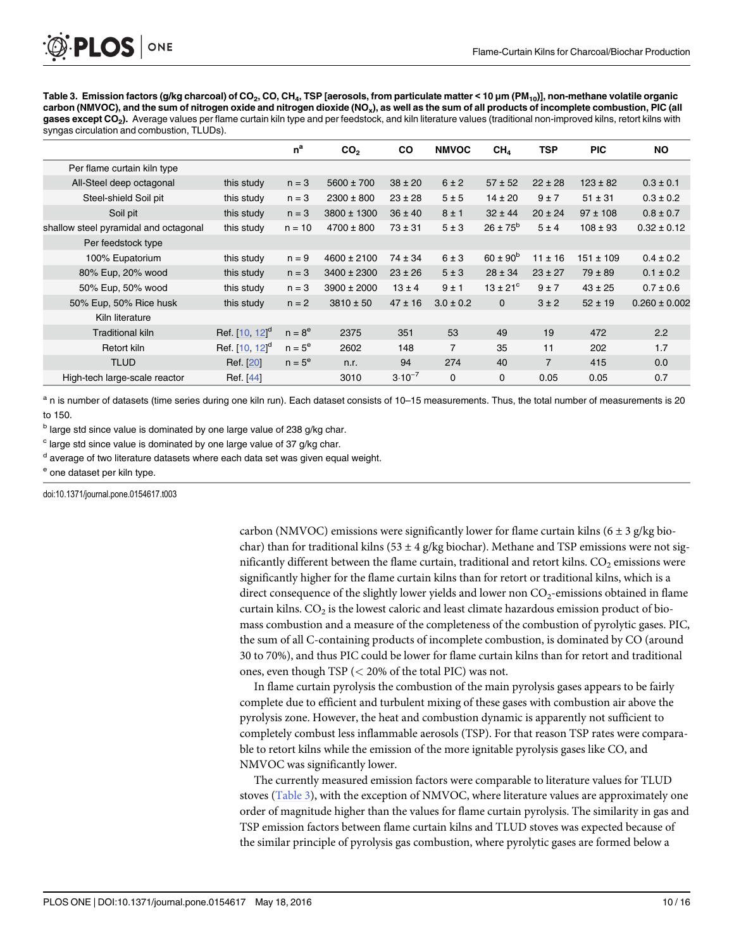<span id="page-9-0"></span>

[Table 3.](#page-8-0) Emission factors (g/kg charcoal) of CO<sub>2</sub>, CO, CH<sub>4</sub>, TSP [aerosols, from particulate matter < 10 µm (PM<sub>10</sub>)], non-methane volatile organic carbon (NMVOC), and the sum of nitrogen oxide and nitrogen dioxide (NO<sub>x</sub>), as well as the sum of all products of incomplete combustion, PIC (all gases except CO<sub>2</sub>). Average values per flame curtain kiln type and per feedstock, and kiln literature values (traditional non-improved kilns, retort kilns with syngas circulation and combustion, TLUDs).

|                                       |                     | $n^a$     | CO <sub>2</sub> | <b>CO</b>   | <b>NMVOC</b>   | CH <sub>4</sub>     | <b>TSP</b>     | <b>PIC</b>    | <b>NO</b>         |
|---------------------------------------|---------------------|-----------|-----------------|-------------|----------------|---------------------|----------------|---------------|-------------------|
| Per flame curtain kiln type           |                     |           |                 |             |                |                     |                |               |                   |
| All-Steel deep octagonal              | this study          | $n = 3$   | $5600 \pm 700$  | $38 \pm 20$ | $6 \pm 2$      | $57 \pm 52$         | $22 \pm 28$    | $123 \pm 82$  | $0.3 \pm 0.1$     |
| Steel-shield Soil pit                 | this study          | $n = 3$   | $2300 \pm 800$  | $23 \pm 28$ | 5±5            | $14 \pm 20$         | 9±7            | $51 \pm 31$   | $0.3 \pm 0.2$     |
| Soil pit                              | this study          | $n = 3$   | $3800 \pm 1300$ | $36 \pm 40$ | $8 \pm 1$      | $32 \pm 44$         | $20 \pm 24$    | $97 \pm 108$  | $0.8 \pm 0.7$     |
| shallow steel pyramidal and octagonal | this study          | $n = 10$  | $4700 \pm 800$  | $73 \pm 31$ | 5±3            | $26 \pm 75^{\rm b}$ | 5±4            | $108 \pm 93$  | $0.32 \pm 0.12$   |
| Per feedstock type                    |                     |           |                 |             |                |                     |                |               |                   |
| 100% Eupatorium                       | this study          | $n = 9$   | $4600 \pm 2100$ | $74 \pm 34$ | $6 \pm 3$      | $60 \pm 90^{b}$     | $11 \pm 16$    | $151 \pm 109$ | $0.4 \pm 0.2$     |
| 80% Eup, 20% wood                     | this study          | $n = 3$   | $3400 \pm 2300$ | $23 \pm 26$ | 5±3            | $28 \pm 34$         | $23 \pm 27$    | $79 \pm 89$   | $0.1 \pm 0.2$     |
| 50% Eup, 50% wood                     | this study          | $n = 3$   | $3900 \pm 2000$ | $13 \pm 4$  | 9±1            | $13 \pm 21^{\circ}$ | 9±7            | $43 \pm 25$   | $0.7 \pm 0.6$     |
| 50% Eup, 50% Rice husk                | this study          | $n = 2$   | $3810 \pm 50$   | $47 \pm 16$ | $3.0 \pm 0.2$  | $\mathbf{0}$        | $3 \pm 2$      | $52 \pm 19$   | $0.260 \pm 0.002$ |
| Kiln literature                       |                     |           |                 |             |                |                     |                |               |                   |
| <b>Traditional kiln</b>               | Ref. $[10, 12]^{d}$ | $n = 8^e$ | 2375            | 351         | 53             | 49                  | 19             | 472           | 2.2               |
| Retort kiln                           | Ref. $[10, 12]^{d}$ | $n = 5^e$ | 2602            | 148         | $\overline{7}$ | 35                  | 11             | 202           | 1.7               |
| <b>TLUD</b>                           | Ref. [20]           | $n = 5^e$ | n.r.            | 94          | 274            | 40                  | $\overline{7}$ | 415           | 0.0               |
| High-tech large-scale reactor         | Ref. [44]           |           | 3010            | $3.10^{-7}$ | $\mathbf 0$    | $\Omega$            | 0.05           | 0.05          | 0.7               |

a n is number of datasets (time series during one kiln run). Each dataset consists of 10-15 measurements. Thus, the total number of measurements is 20 to 150.

 $<sup>b</sup>$  large std since value is dominated by one large value of 238 g/kg char.</sup>

 $c$  large std since value is dominated by one large value of 37 g/kg char.

<sup>d</sup> average of two literature datasets where each data set was given equal weight.

<sup>e</sup> one dataset per kiln type.

doi:10.1371/journal.pone.0154617.t003

carbon (NMVOC) emissions were significantly lower for flame curtain kilns ( $6 \pm 3$  g/kg biochar) than for traditional kilns (53  $\pm$  4 g/kg biochar). Methane and TSP emissions were not significantly different between the flame curtain, traditional and retort kilns.  $CO<sub>2</sub>$  emissions were significantly higher for the flame curtain kilns than for retort or traditional kilns, which is a direct consequence of the slightly lower yields and lower non  $CO<sub>2</sub>$ -emissions obtained in flame curtain kilns.  $CO<sub>2</sub>$  is the lowest caloric and least climate hazardous emission product of biomass combustion and a measure of the completeness of the combustion of pyrolytic gases. PIC, the sum of all C-containing products of incomplete combustion, is dominated by CO (around 30 to 70%), and thus PIC could be lower for flame curtain kilns than for retort and traditional ones, even though TSP (< 20% of the total PIC) was not.

In flame curtain pyrolysis the combustion of the main pyrolysis gases appears to be fairly complete due to efficient and turbulent mixing of these gases with combustion air above the pyrolysis zone. However, the heat and combustion dynamic is apparently not sufficient to completely combust less inflammable aerosols (TSP). For that reason TSP rates were comparable to retort kilns while the emission of the more ignitable pyrolysis gases like CO, and NMVOC was significantly lower.

The currently measured emission factors were comparable to literature values for TLUD stoves ( $Table 3$ ), with the exception of NMVOC, where literature values are approximately one order of magnitude higher than the values for flame curtain pyrolysis. The similarity in gas and TSP emission factors between flame curtain kilns and TLUD stoves was expected because of the similar principle of pyrolysis gas combustion, where pyrolytic gases are formed below a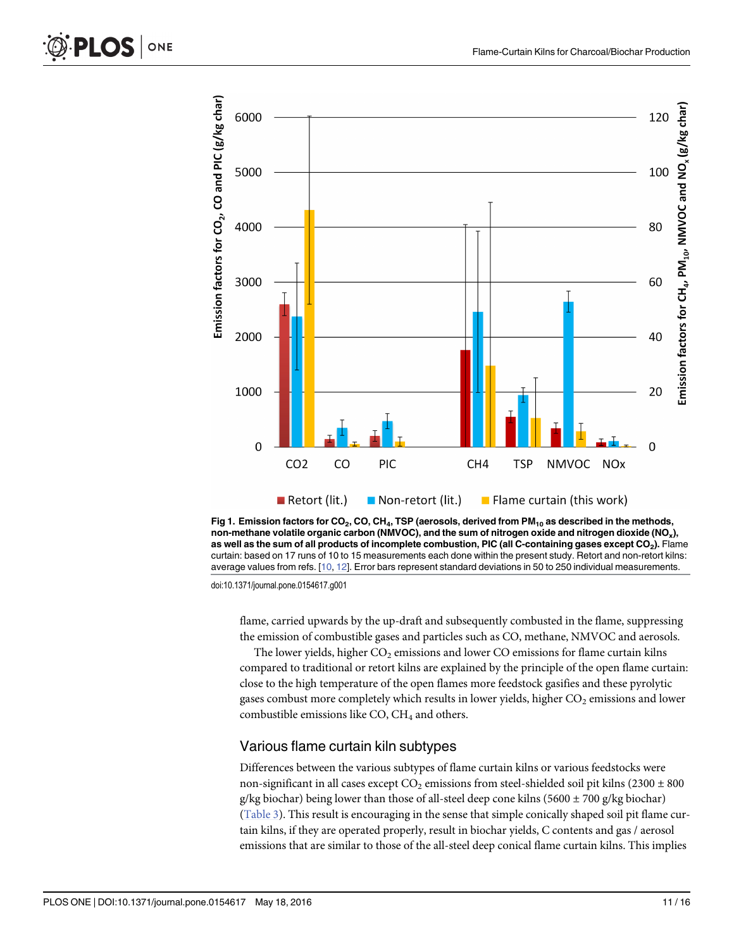<span id="page-10-0"></span>





doi:10.1371/journal.pone.0154617.g001

flame, carried upwards by the up-draft and subsequently combusted in the flame, suppressing the emission of combustible gases and particles such as CO, methane, NMVOC and aerosols.

The lower yields, higher  $CO<sub>2</sub>$  emissions and lower  $CO$  emissions for flame curtain kilns compared to traditional or retort kilns are explained by the principle of the open flame curtain: close to the high temperature of the open flames more feedstock gasifies and these pyrolytic gases combust more completely which results in lower yields, higher  $CO<sub>2</sub>$  emissions and lower combustible emissions like  $CO$ ,  $CH<sub>4</sub>$  and others.

#### Various flame curtain kiln subtypes

Differences between the various subtypes of flame curtain kilns or various feedstocks were non-significant in all cases except  $CO_2$  emissions from steel-shielded soil pit kilns (2300  $\pm$  800 g/kg biochar) being lower than those of all-steel deep cone kilns (5600  $\pm$  700 g/kg biochar) [\(Table 3\)](#page-9-0). This result is encouraging in the sense that simple conically shaped soil pit flame curtain kilns, if they are operated properly, result in biochar yields, C contents and gas / aerosol emissions that are similar to those of the all-steel deep conical flame curtain kilns. This implies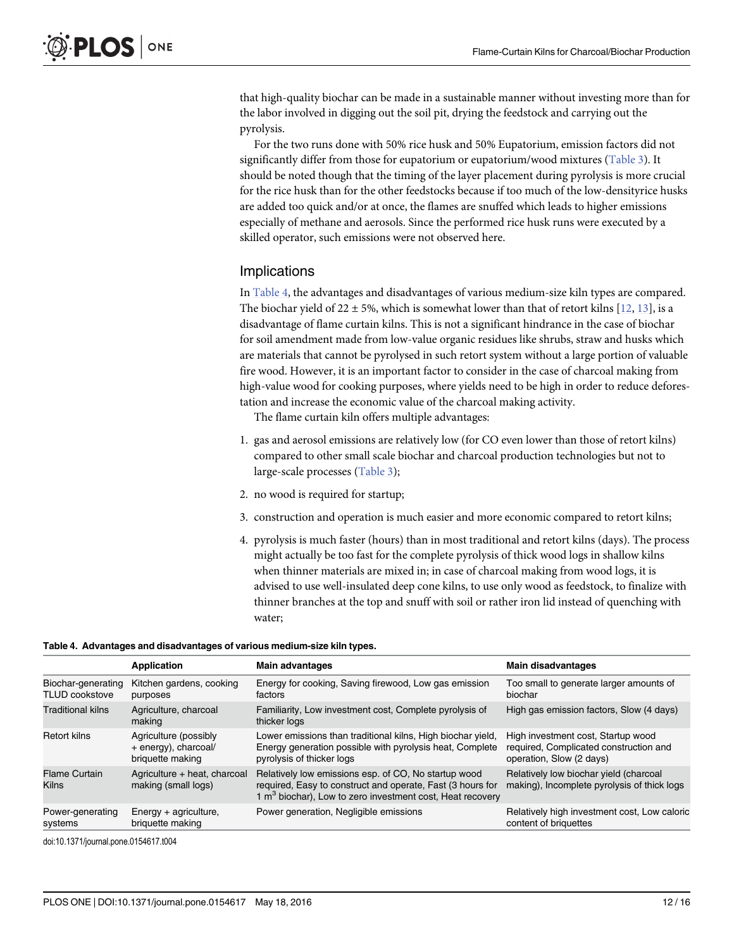that high-quality biochar can be made in a sustainable manner without investing more than for the labor involved in digging out the soil pit, drying the feedstock and carrying out the pyrolysis.

For the two runs done with 50% rice husk and 50% Eupatorium, emission factors did not significantly differ from those for eupatorium or eupatorium/wood mixtures ([Table 3](#page-9-0)). It should be noted though that the timing of the layer placement during pyrolysis is more crucial for the rice husk than for the other feedstocks because if too much of the low-densityrice husks are added too quick and/or at once, the flames are snuffed which leads to higher emissions especially of methane and aerosols. Since the performed rice husk runs were executed by a skilled operator, such emissions were not observed here.

#### Implications

In Table 4, the advantages and disadvantages of various medium-size kiln types are compared. The biochar yield of 22  $\pm$  5%, which is somewhat lower than that of retort kilns [[12](#page-13-0), [13](#page-13-0)], is a disadvantage of flame curtain kilns. This is not a significant hindrance in the case of biochar for soil amendment made from low-value organic residues like shrubs, straw and husks which are materials that cannot be pyrolysed in such retort system without a large portion of valuable fire wood. However, it is an important factor to consider in the case of charcoal making from high-value wood for cooking purposes, where yields need to be high in order to reduce deforestation and increase the economic value of the charcoal making activity.

The flame curtain kiln offers multiple advantages:

- 1. gas and aerosol emissions are relatively low (for CO even lower than those of retort kilns) compared to other small scale biochar and charcoal production technologies but not to large-scale processes ([Table 3](#page-9-0));
- 2. no wood is required for startup;
- 3. construction and operation is much easier and more economic compared to retort kilns;
- 4. pyrolysis is much faster (hours) than in most traditional and retort kilns (days). The process might actually be too fast for the complete pyrolysis of thick wood logs in shallow kilns when thinner materials are mixed in; in case of charcoal making from wood logs, it is advised to use well-insulated deep cone kilns, to use only wood as feedstock, to finalize with thinner branches at the top and snuff with soil or rather iron lid instead of quenching with water;

#### Table 4. Advantages and disadvantages of various medium-size kiln types.

|                          | <b>Application</b>                                  | <b>Main advantages</b>                                                                                                                                                                      | <b>Main disadvantages</b>                                                             |
|--------------------------|-----------------------------------------------------|---------------------------------------------------------------------------------------------------------------------------------------------------------------------------------------------|---------------------------------------------------------------------------------------|
| Biochar-generating       | Kitchen gardens, cooking                            | Energy for cooking, Saving firewood, Low gas emission                                                                                                                                       | Too small to generate larger amounts of                                               |
| <b>TLUD cookstove</b>    | purposes                                            | factors                                                                                                                                                                                     | biochar                                                                               |
| <b>Traditional kilns</b> | Agriculture, charcoal<br>making                     | Familiarity, Low investment cost, Complete pyrolysis of<br>thicker logs                                                                                                                     | High gas emission factors, Slow (4 days)                                              |
| Retort kilns             | Agriculture (possibly                               | Lower emissions than traditional kilns, High biochar yield,                                                                                                                                 | High investment cost, Startup wood                                                    |
|                          | + energy), charcoal/                                | Energy generation possible with pyrolysis heat, Complete                                                                                                                                    | required, Complicated construction and                                                |
|                          | briquette making                                    | pyrolysis of thicker logs                                                                                                                                                                   | operation, Slow (2 days)                                                              |
| Flame Curtain<br>Kilns   | Agriculture + heat, charcoal<br>making (small logs) | Relatively low emissions esp. of CO, No startup wood<br>required, Easy to construct and operate, Fast (3 hours for<br>1 m <sup>3</sup> biochar), Low to zero investment cost, Heat recovery | Relatively low biochar yield (charcoal<br>making), Incomplete pyrolysis of thick logs |
| Power-generating         | Energy $+$ agriculture,                             | Power generation, Negligible emissions                                                                                                                                                      | Relatively high investment cost, Low caloric                                          |
| systems                  | briquette making                                    |                                                                                                                                                                                             | content of briquettes                                                                 |

doi:10.1371/journal.pone.0154617.t004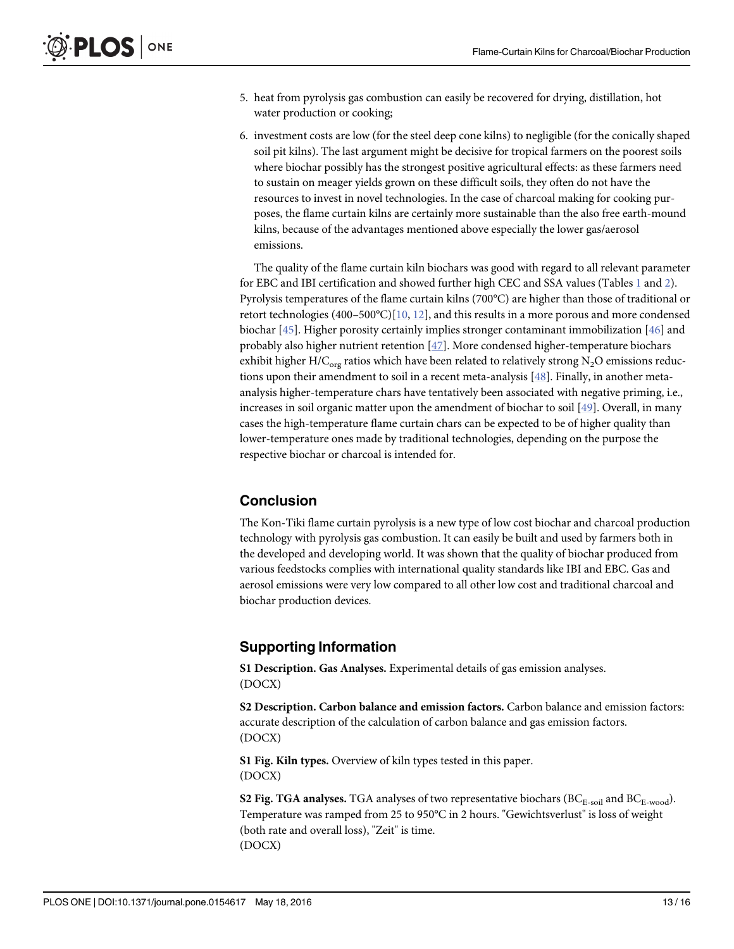- <span id="page-12-0"></span>5. heat from pyrolysis gas combustion can easily be recovered for drying, distillation, hot water production or cooking;
- 6. investment costs are low (for the steel deep cone kilns) to negligible (for the conically shaped soil pit kilns). The last argument might be decisive for tropical farmers on the poorest soils where biochar possibly has the strongest positive agricultural effects: as these farmers need to sustain on meager yields grown on these difficult soils, they often do not have the resources to invest in novel technologies. In the case of charcoal making for cooking purposes, the flame curtain kilns are certainly more sustainable than the also free earth-mound kilns, because of the advantages mentioned above especially the lower gas/aerosol emissions.

The quality of the flame curtain kiln biochars was good with regard to all relevant parameter for EBC and IBI certification and showed further high CEC and SSA values (Tables  $1$  and  $2$ ). Pyrolysis temperatures of the flame curtain kilns (700°C) are higher than those of traditional or retort technologies (400–500°C)[[10](#page-13-0), [12](#page-13-0)], and this results in a more porous and more condensed biochar [[45](#page-15-0)]. Higher porosity certainly implies stronger contaminant immobilization [\[46](#page-15-0)] and probably also higher nutrient retention  $[47]$  $[47]$ . More condensed higher-temperature biochars exhibit higher H/C<sub>org</sub> ratios which have been related to relatively strong N<sub>2</sub>O emissions reductions upon their amendment to soil in a recent meta-analysis [\[48\]](#page-15-0). Finally, in another metaanalysis higher-temperature chars have tentatively been associated with negative priming, i.e., increases in soil organic matter upon the amendment of biochar to soil [[49\]](#page-15-0). Overall, in many cases the high-temperature flame curtain chars can be expected to be of higher quality than lower-temperature ones made by traditional technologies, depending on the purpose the respective biochar or charcoal is intended for.

#### **Conclusion**

The Kon-Tiki flame curtain pyrolysis is a new type of low cost biochar and charcoal production technology with pyrolysis gas combustion. It can easily be built and used by farmers both in the developed and developing world. It was shown that the quality of biochar produced from various feedstocks complies with international quality standards like IBI and EBC. Gas and aerosol emissions were very low compared to all other low cost and traditional charcoal and biochar production devices.

## Supporting Information

[S1 Description](http://www.plosone.org/article/fetchSingleRepresentation.action?uri=info:doi/10.1371/journal.pone.0154617.s001). Gas Analyses. Experimental details of gas emission analyses. (DOCX)

[S2 Description](http://www.plosone.org/article/fetchSingleRepresentation.action?uri=info:doi/10.1371/journal.pone.0154617.s002). Carbon balance and emission factors. Carbon balance and emission factors: accurate description of the calculation of carbon balance and gas emission factors. (DOCX)

[S1 Fig.](http://www.plosone.org/article/fetchSingleRepresentation.action?uri=info:doi/10.1371/journal.pone.0154617.s003) Kiln types. Overview of kiln types tested in this paper. (DOCX)

[S2 Fig.](http://www.plosone.org/article/fetchSingleRepresentation.action?uri=info:doi/10.1371/journal.pone.0154617.s004) TGA analyses. TGA analyses of two representative biochars ( $BC_{E-solid}$  and  $BC_{E-wood}$ ). Temperature was ramped from 25 to 950°C in 2 hours. "Gewichtsverlust" is loss of weight (both rate and overall loss), "Zeit" is time. (DOCX)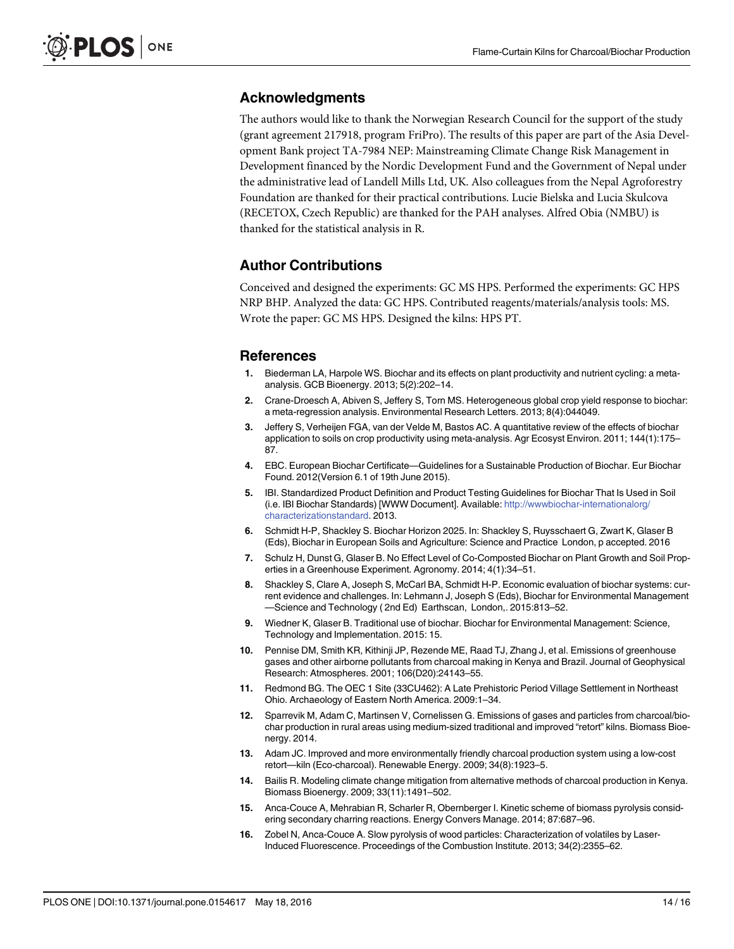#### <span id="page-13-0"></span>Acknowledgments

The authors would like to thank the Norwegian Research Council for the support of the study (grant agreement 217918, program FriPro). The results of this paper are part of the Asia Development Bank project TA-7984 NEP: Mainstreaming Climate Change Risk Management in Development financed by the Nordic Development Fund and the Government of Nepal under the administrative lead of Landell Mills Ltd, UK. Also colleagues from the Nepal Agroforestry Foundation are thanked for their practical contributions. Lucie Bielska and Lucia Skulcova (RECETOX, Czech Republic) are thanked for the PAH analyses. Alfred Obia (NMBU) is thanked for the statistical analysis in R.

#### Author Contributions

Conceived and designed the experiments: GC MS HPS. Performed the experiments: GC HPS NRP BHP. Analyzed the data: GC HPS. Contributed reagents/materials/analysis tools: MS. Wrote the paper: GC MS HPS. Designed the kilns: HPS PT.

#### References

- [1.](#page-1-0) Biederman LA, Harpole WS. Biochar and its effects on plant productivity and nutrient cycling: a metaanalysis. GCB Bioenergy. 2013; 5(2):202–14.
- 2. Crane-Droesch A, Abiven S, Jeffery S, Torn MS. Heterogeneous global crop yield response to biochar: a meta-regression analysis. Environmental Research Letters. 2013; 8(4):044049.
- [3.](#page-1-0) Jeffery S, Verheijen FGA, van der Velde M, Bastos AC. A quantitative review of the effects of biochar application to soils on crop productivity using meta-analysis. Agr Ecosyst Environ. 2011; 144(1):175– 87.
- [4.](#page-1-0) EBC. European Biochar Certificate—Guidelines for a Sustainable Production of Biochar. Eur Biochar Found. 2012(Version 6.1 of 19th June 2015).
- [5.](#page-1-0) IBI. Standardized Product Definition and Product Testing Guidelines for Biochar That Is Used in Soil (i.e. IBI Biochar Standards) [WWW Document]. Available: [http://wwwbiochar-internationalorg/](http://wwwbiochar-internationalorg/characterizationstandard) [characterizationstandard.](http://wwwbiochar-internationalorg/characterizationstandard) 2013.
- [6.](#page-1-0) Schmidt H-P, Shackley S. Biochar Horizon 2025. In: Shackley S, Ruysschaert G, Zwart K, Glaser B (Eds), Biochar in European Soils and Agriculture: Science and Practice London, p accepted. 2016
- 7. Schulz H, Dunst G, Glaser B. No Effect Level of Co-Composted Biochar on Plant Growth and Soil Properties in a Greenhouse Experiment. Agronomy. 2014; 4(1):34–51.
- [8.](#page-1-0) Shackley S, Clare A, Joseph S, McCarl BA, Schmidt H-P. Economic evaluation of biochar systems: current evidence and challenges. In: Lehmann J, Joseph S (Eds), Biochar for Environmental Management —Science and Technology ( 2nd Ed) Earthscan, London,. 2015:813–52.
- [9.](#page-1-0) Wiedner K, Glaser B. Traditional use of biochar. Biochar for Environmental Management: Science, Technology and Implementation. 2015: 15.
- [10.](#page-1-0) Pennise DM, Smith KR, Kithinji JP, Rezende ME, Raad TJ, Zhang J, et al. Emissions of greenhouse gases and other airborne pollutants from charcoal making in Kenya and Brazil. Journal of Geophysical Research: Atmospheres. 2001; 106(D20):24143–55.
- [11.](#page-1-0) Redmond BG. The OEC 1 Site (33CU462): A Late Prehistoric Period Village Settlement in Northeast Ohio. Archaeology of Eastern North America. 2009:1–34.
- [12.](#page-1-0) Sparrevik M, Adam C, Martinsen V, Cornelissen G. Emissions of gases and particles from charcoal/biochar production in rural areas using medium-sized traditional and improved "retort" kilns. Biomass Bioenergy. 2014.
- [13.](#page-2-0) Adam JC. Improved and more environmentally friendly charcoal production system using a low-cost retort—kiln (Eco-charcoal). Renewable Energy. 2009; 34(8):1923–5.
- [14.](#page-2-0) Bailis R. Modeling climate change mitigation from alternative methods of charcoal production in Kenya. Biomass Bioenergy. 2009; 33(11):1491–502.
- [15.](#page-2-0) Anca-Couce A, Mehrabian R, Scharler R, Obernberger I. Kinetic scheme of biomass pyrolysis considering secondary charring reactions. Energy Convers Manage. 2014; 87:687–96.
- [16.](#page-2-0) Zobel N, Anca-Couce A. Slow pyrolysis of wood particles: Characterization of volatiles by Laser-Induced Fluorescence. Proceedings of the Combustion Institute. 2013; 34(2):2355–62.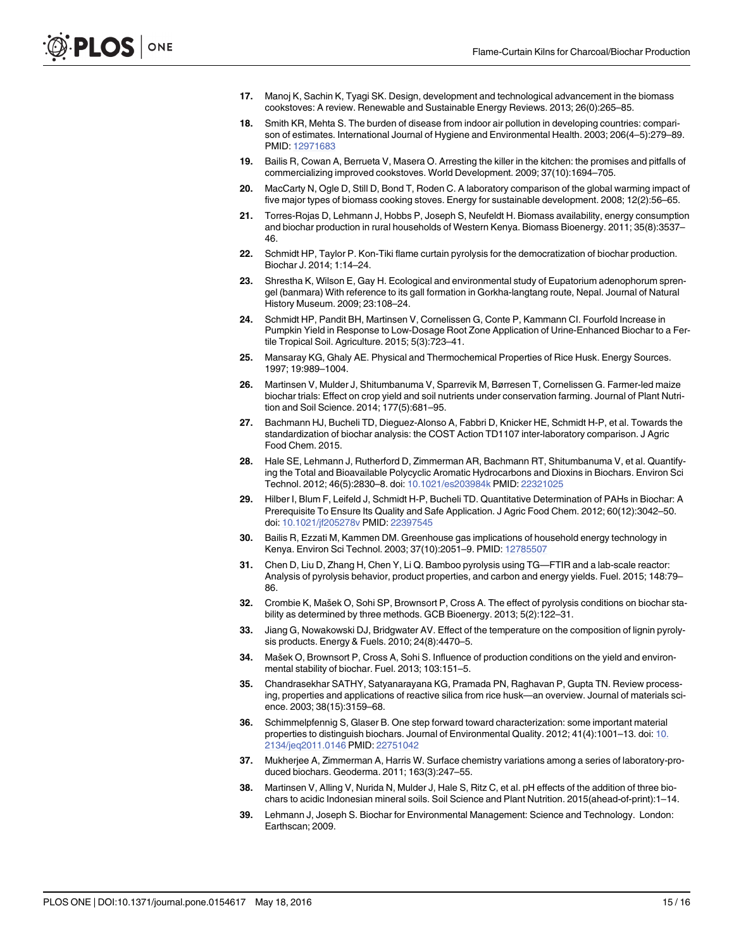- <span id="page-14-0"></span>[17.](#page-2-0) Manoj K, Sachin K, Tyagi SK. Design, development and technological advancement in the biomass cookstoves: A review. Renewable and Sustainable Energy Reviews. 2013; 26(0):265–85.
- [18.](#page-2-0) Smith KR, Mehta S. The burden of disease from indoor air pollution in developing countries: comparison of estimates. International Journal of Hygiene and Environmental Health. 2003; 206(4–5):279–89. PMID: [12971683](http://www.ncbi.nlm.nih.gov/pubmed/12971683)
- [19.](#page-2-0) Bailis R, Cowan A, Berrueta V, Masera O. Arresting the killer in the kitchen: the promises and pitfalls of commercializing improved cookstoves. World Development. 2009; 37(10):1694–705.
- [20.](#page-2-0) MacCarty N, Ogle D, Still D, Bond T, Roden C. A laboratory comparison of the global warming impact of five major types of biomass cooking stoves. Energy for sustainable development. 2008; 12(2):56–65.
- [21.](#page-2-0) Torres-Rojas D, Lehmann J, Hobbs P, Joseph S, Neufeldt H. Biomass availability, energy consumption and biochar production in rural households of Western Kenya. Biomass Bioenergy. 2011; 35(8):3537– 46.
- [22.](#page-2-0) Schmidt HP, Taylor P. Kon-Tiki flame curtain pyrolysis for the democratization of biochar production. Biochar J. 2014; 1:14–24.
- [23.](#page-2-0) Shrestha K, Wilson E, Gay H. Ecological and environmental study of Eupatorium adenophorum sprengel (banmara) With reference to its gall formation in Gorkha-langtang route, Nepal. Journal of Natural History Museum. 2009; 23:108–24.
- [24.](#page-3-0) Schmidt HP, Pandit BH, Martinsen V, Cornelissen G, Conte P, Kammann CI. Fourfold Increase in Pumpkin Yield in Response to Low-Dosage Root Zone Application of Urine-Enhanced Biochar to a Fertile Tropical Soil. Agriculture. 2015; 5(3):723–41.
- [25.](#page-4-0) Mansaray KG, Ghaly AE. Physical and Thermochemical Properties of Rice Husk. Energy Sources. 1997; 19:989–1004.
- [26.](#page-4-0) Martinsen V, Mulder J, Shitumbanuma V, Sparrevik M, Børresen T, Cornelissen G. Farmer-led maize biochar trials: Effect on crop yield and soil nutrients under conservation farming. Journal of Plant Nutrition and Soil Science. 2014; 177(5):681–95.
- [27.](#page-4-0) Bachmann HJ, Bucheli TD, Dieguez-Alonso A, Fabbri D, Knicker HE, Schmidt H-P, et al. Towards the standardization of biochar analysis: the COST Action TD1107 inter-laboratory comparison. J Agric Food Chem. 2015.
- [28.](#page-4-0) Hale SE, Lehmann J, Rutherford D, Zimmerman AR, Bachmann RT, Shitumbanuma V, et al. Quantifying the Total and Bioavailable Polycyclic Aromatic Hydrocarbons and Dioxins in Biochars. Environ Sci Technol. 2012; 46(5):2830–8. doi: [10.1021/es203984k](http://dx.doi.org/10.1021/es203984k) PMID: [22321025](http://www.ncbi.nlm.nih.gov/pubmed/22321025)
- [29.](#page-4-0) Hilber I, Blum F, Leifeld J, Schmidt H-P, Bucheli TD. Quantitative Determination of PAHs in Biochar: A Prerequisite To Ensure Its Quality and Safe Application. J Agric Food Chem. 2012; 60(12):3042–50. doi: [10.1021/jf205278v](http://dx.doi.org/10.1021/jf205278v) PMID: [22397545](http://www.ncbi.nlm.nih.gov/pubmed/22397545)
- [30.](#page-5-0) Bailis R, Ezzati M, Kammen DM. Greenhouse gas implications of household energy technology in Kenya. Environ Sci Technol. 2003; 37(10):2051–9. PMID: [12785507](http://www.ncbi.nlm.nih.gov/pubmed/12785507)
- [31.](#page-5-0) Chen D, Liu D, Zhang H, Chen Y, Li Q. Bamboo pyrolysis using TG—FTIR and a lab-scale reactor: Analysis of pyrolysis behavior, product properties, and carbon and energy yields. Fuel. 2015; 148:79– 86.
- 32. Crombie K, Mašek O, Sohi SP, Brownsort P, Cross A. The effect of pyrolysis conditions on biochar stability as determined by three methods. GCB Bioenergy. 2013; 5(2):122–31.
- 33. Jiang G, Nowakowski DJ, Bridgwater AV. Effect of the temperature on the composition of lignin pyrolysis products. Energy & Fuels. 2010; 24(8):4470–5.
- [34.](#page-5-0) Mašek O, Brownsort P, Cross A, Sohi S. Influence of production conditions on the yield and environmental stability of biochar. Fuel. 2013; 103:151–5.
- [35.](#page-6-0) Chandrasekhar SATHY, Satyanarayana KG, Pramada PN, Raghavan P, Gupta TN. Review processing, properties and applications of reactive silica from rice husk—an overview. Journal of materials science. 2003; 38(15):3159–68.
- [36.](#page-6-0) Schimmelpfennig S, Glaser B. One step forward toward characterization: some important material properties to distinguish biochars. Journal of Environmental Quality. 2012; 41(4):1001–13. doi: [10.](http://dx.doi.org/10.2134/jeq2011.0146) [2134/jeq2011.0146](http://dx.doi.org/10.2134/jeq2011.0146) PMID: [22751042](http://www.ncbi.nlm.nih.gov/pubmed/22751042)
- [37.](#page-6-0) Mukherjee A, Zimmerman A, Harris W. Surface chemistry variations among a series of laboratory-produced biochars. Geoderma. 2011; 163(3):247–55.
- [38.](#page-6-0) Martinsen V, Alling V, Nurida N, Mulder J, Hale S, Ritz C, et al. pH effects of the addition of three biochars to acidic Indonesian mineral soils. Soil Science and Plant Nutrition. 2015(ahead-of-print):1–14.
- [39.](#page-6-0) Lehmann J, Joseph S. Biochar for Environmental Management: Science and Technology. London: Earthscan; 2009.